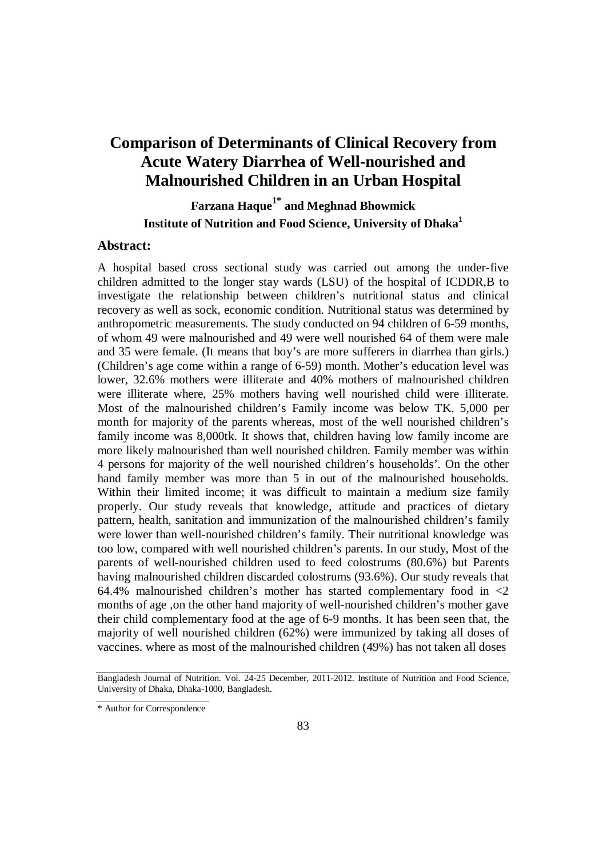# **Comparison of Determinants of Clinical Recovery from Acute Watery Diarrhea of Well-nourished and Malnourished Children in an Urban Hospital**

**Farzana Haque1\* and Meghnad Bhowmick Institute of Nutrition and Food Science, University of Dhaka**<sup>1</sup>

#### **Abstract:**

A hospital based cross sectional study was carried out among the under-five children admitted to the longer stay wards (LSU) of the hospital of ICDDR,B to investigate the relationship between children's nutritional status and clinical recovery as well as sock, economic condition. Nutritional status was determined by anthropometric measurements. The study conducted on 94 children of 6-59 months, of whom 49 were malnourished and 49 were well nourished 64 of them were male and 35 were female. (It means that boy's are more sufferers in diarrhea than girls.) (Children's age come within a range of 6-59) month. Mother's education level was lower, 32.6% mothers were illiterate and 40% mothers of malnourished children were illiterate where, 25% mothers having well nourished child were illiterate. Most of the malnourished children's Family income was below TK. 5,000 per month for majority of the parents whereas, most of the well nourished children's family income was 8,000tk. It shows that, children having low family income are more likely malnourished than well nourished children. Family member was within 4 persons for majority of the well nourished children's households'. On the other hand family member was more than 5 in out of the malnourished households. Within their limited income; it was difficult to maintain a medium size family properly. Our study reveals that knowledge, attitude and practices of dietary pattern, health, sanitation and immunization of the malnourished children's family were lower than well-nourished children's family. Their nutritional knowledge was too low, compared with well nourished children's parents. In our study, Most of the parents of well-nourished children used to feed colostrums (80.6%) but Parents having malnourished children discarded colostrums (93.6%). Our study reveals that 64.4% malnourished children's mother has started complementary food in  $\langle 2 \rangle$ months of age ,on the other hand majority of well-nourished children's mother gave their child complementary food at the age of 6-9 months. It has been seen that, the majority of well nourished children (62%) were immunized by taking all doses of vaccines. where as most of the malnourished children (49%) has not taken all doses

Bangladesh Journal of Nutrition. Vol. 24-25 December, 2011-2012. Institute of Nutrition and Food Science, University of Dhaka, Dhaka-1000, Bangladesh.

<sup>\*</sup> Author for Correspondence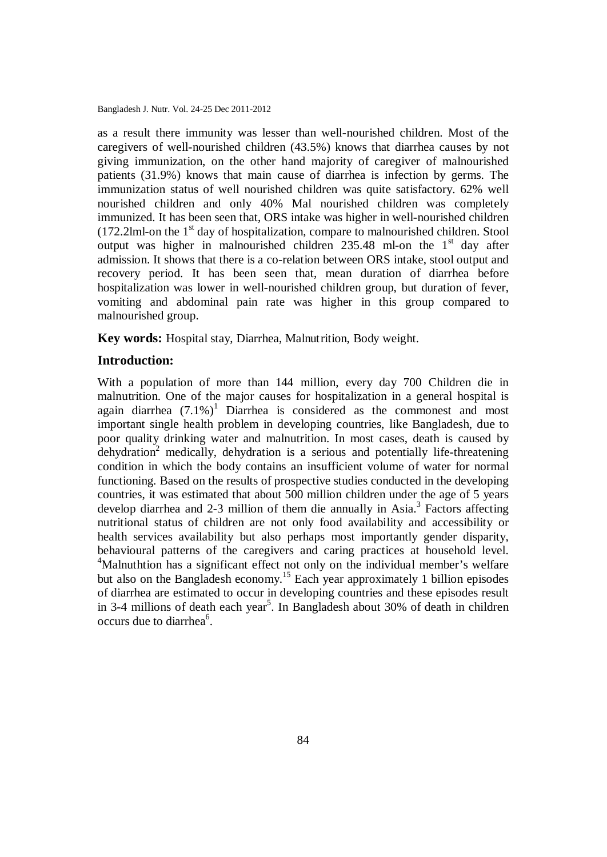as a result there immunity was lesser than well-nourished children. Most of the caregivers of well-nourished children (43.5%) knows that diarrhea causes by not giving immunization, on the other hand majority of caregiver of malnourished patients (31.9%) knows that main cause of diarrhea is infection by germs. The immunization status of well nourished children was quite satisfactory. 62% well nourished children and only 40% Mal nourished children was completely immunized. It has been seen that, ORS intake was higher in well-nourished children  $(172.2$ lml-on the  $1<sup>st</sup>$  day of hospitalization, compare to malnourished children. Stool output was higher in malnourished children  $235.48$  ml-on the 1<sup>st</sup> day after admission. It shows that there is a co-relation between ORS intake, stool output and recovery period. It has been seen that, mean duration of diarrhea before hospitalization was lower in well-nourished children group, but duration of fever, vomiting and abdominal pain rate was higher in this group compared to malnourished group.

**Key words:** Hospital stay, Diarrhea, Malnutrition, Body weight.

#### **Introduction:**

With a population of more than 144 million, every day 700 Children die in malnutrition. One of the major causes for hospitalization in a general hospital is again diarrhea  $(7.1\%)^1$  Diarrhea is considered as the commonest and most important single health problem in developing countries, like Bangladesh, due to poor quality drinking water and malnutrition. In most cases, death is caused by  $dehvdration<sup>2</sup>$  medically, dehydration is a serious and potentially life-threatening condition in which the body contains an insufficient volume of water for normal functioning. Based on the results of prospective studies conducted in the developing countries, it was estimated that about 500 million children under the age of 5 years develop diarrhea and 2-3 million of them die annually in Asia. $3$  Factors affecting nutritional status of children are not only food availability and accessibility or health services availability but also perhaps most importantly gender disparity, behavioural patterns of the caregivers and caring practices at household level. <sup>4</sup>Malnuthtion has a significant effect not only on the individual member's welfare but also on the Bangladesh economy.<sup>15</sup> Each year approximately 1 billion episodes of diarrhea are estimated to occur in developing countries and these episodes result in 3-4 millions of death each year<sup>5</sup>. In Bangladesh about 30% of death in children occurs due to diarrhea<sup>6</sup>.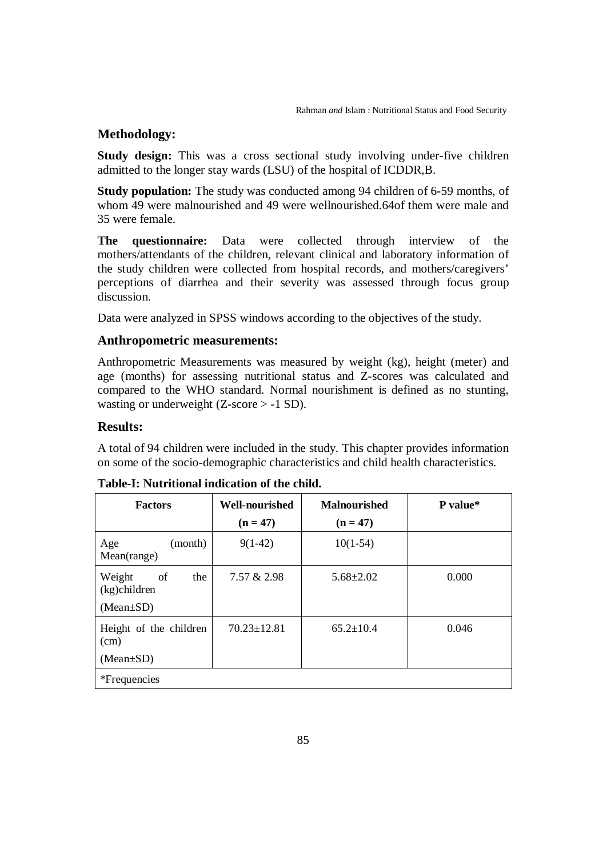### **Methodology:**

**Study design:** This was a cross sectional study involving under-five children admitted to the longer stay wards (LSU) of the hospital of ICDDR,B.

**Study population:** The study was conducted among 94 children of 6-59 months, of whom 49 were malnourished and 49 were wellnourished.64of them were male and 35 were female.

**The questionnaire:** Data were collected through interview of the mothers/attendants of the children, relevant clinical and laboratory information of the study children were collected from hospital records, and mothers/caregivers' perceptions of diarrhea and their severity was assessed through focus group discussion.

Data were analyzed in SPSS windows according to the objectives of the study.

### **Anthropometric measurements:**

Anthropometric Measurements was measured by weight (kg), height (meter) and age (months) for assessing nutritional status and Z-scores was calculated and compared to the WHO standard. Normal nourishment is defined as no stunting, wasting or underweight  $(Z\text{-score} > -1 \text{ SD})$ .

### **Results:**

A total of 94 children were included in the study. This chapter provides information on some of the socio-demographic characteristics and child health characteristics.

| <b>Factors</b>                                            | <b>Well-nourished</b> | <b>Malnourished</b> | P value* |  |
|-----------------------------------------------------------|-----------------------|---------------------|----------|--|
|                                                           | $(n = 47)$            | $(n = 47)$          |          |  |
| (month)<br>Age<br>Mean(range)                             | $9(1-42)$             | $10(1-54)$          |          |  |
| of<br>the<br>Weight<br>$(kg)$ children<br>$(Mean \pm SD)$ | 7.57 & 2.98           | $5.68 \pm 2.02$     | 0.000    |  |
| Height of the children<br>(cm)<br>$(Mean \pm SD)$         | $70.23 \pm 12.81$     | $65.2 \pm 10.4$     | 0.046    |  |
| <i>*Frequencies</i>                                       |                       |                     |          |  |

#### **Table-I: Nutritional indication of the child.**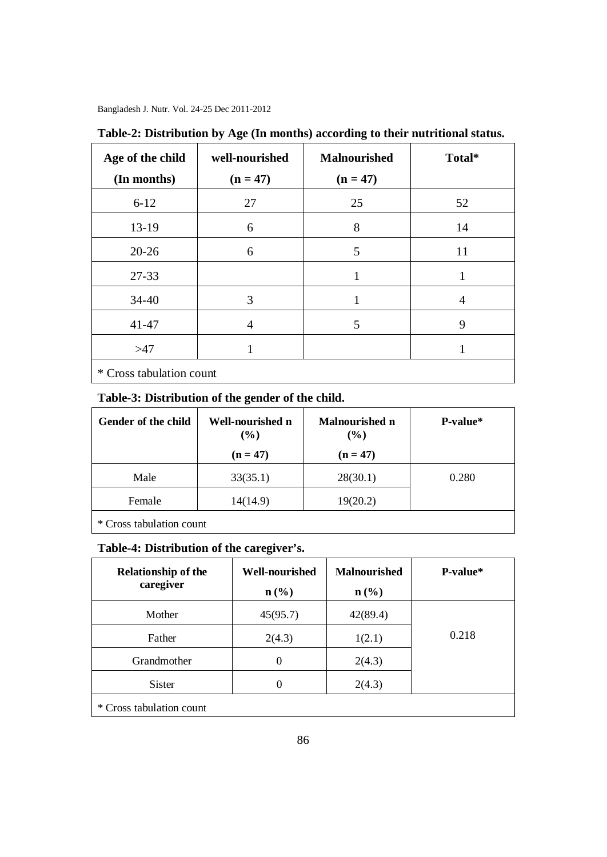| Age of the child<br>(In months) | well-nourished<br>$(n = 47)$ | <b>Malnourished</b><br>$(n = 47)$ | Total* |  |  |
|---------------------------------|------------------------------|-----------------------------------|--------|--|--|
| $6 - 12$                        | 27                           | 25                                | 52     |  |  |
| 13-19                           | 6                            | 8                                 | 14     |  |  |
| $20 - 26$                       | 6                            | 5                                 | 11     |  |  |
| 27-33                           |                              | 1                                 | 1      |  |  |
| $34 - 40$                       | 3                            |                                   | 4      |  |  |
| 41-47                           | $\overline{4}$               | 5                                 | 9      |  |  |
| >47                             | 1                            |                                   | 1      |  |  |
| * Cross tabulation count        |                              |                                   |        |  |  |

**Table-2: Distribution by Age (In months) according to their nutritional status.**

## **Table-3: Distribution of the gender of the child.**

| Gender of the child | Well-nourished n<br>$(\%)$ | <b>Malnourished n</b><br>(%) | P-value* |
|---------------------|----------------------------|------------------------------|----------|
|                     | $(n = 47)$                 | $(n = 47)$                   |          |
| Male                | 33(35.1)                   | 28(30.1)                     | 0.280    |
| Female              | 14(14.9)                   | 19(20.2)                     |          |
|                     |                            |                              |          |

\* Cross tabulation count

# **Table-4: Distribution of the caregiver's.**

| <b>Relationship of the</b> | Well-nourished   | <b>Malnourished</b> | <b>P-value</b> * |
|----------------------------|------------------|---------------------|------------------|
| caregiver                  | $\mathbf{n}(\%)$ | $\mathbf{n}(\%)$    |                  |
| Mother                     | 45(95.7)         | 42(89.4)            |                  |
| Father                     | 2(4.3)           | 1(2.1)              | 0.218            |
| Grandmother                | 0                | 2(4.3)              |                  |
| <b>Sister</b>              | 0                | 2(4.3)              |                  |
| * Cross tabulation count   |                  |                     |                  |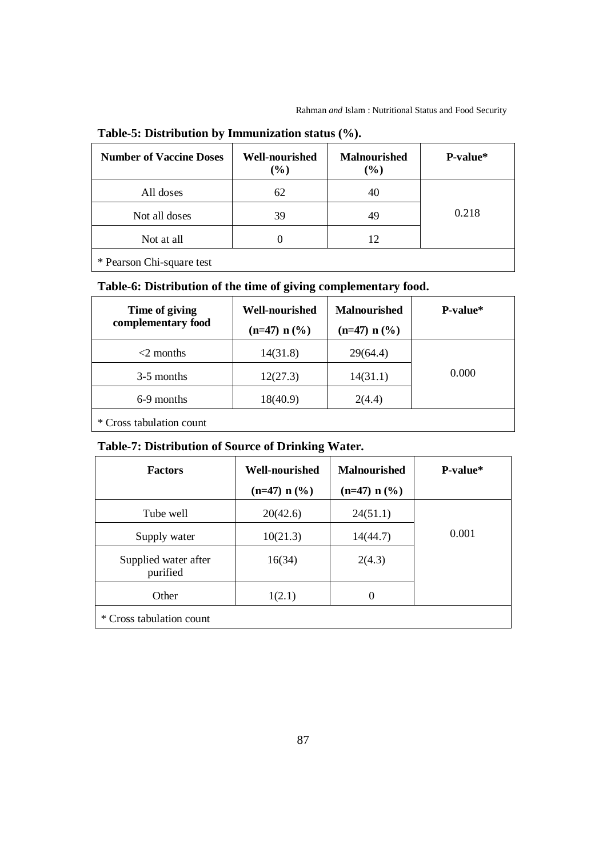| <b>Number of Vaccine Doses</b> | <b>Well-nourished</b><br>$(\%)$ | <b>Malnourished</b><br>$(\%)$ | P-value* |
|--------------------------------|---------------------------------|-------------------------------|----------|
| All doses                      | 62                              | 40                            |          |
| Not all doses                  | 39                              | 49                            | 0.218    |
| Not at all                     |                                 | 12                            |          |
|                                |                                 |                               |          |

# **Table-5: Distribution by Immunization status (%).**

\* Pearson Chi-square test

# **Table-6: Distribution of the time of giving complementary food.**

| Time of giving<br>complementary food | <b>Well-nourished</b><br>$(n=47) n$ (%) | <b>Malnourished</b><br>$(n=47) n$ (%) | <b>P-value</b> * |
|--------------------------------------|-----------------------------------------|---------------------------------------|------------------|
| $<$ 2 months                         | 14(31.8)                                | 29(64.4)                              |                  |
| 3-5 months                           | 12(27.3)                                | 14(31.1)                              | 0.000            |
| 6-9 months                           | 18(40.9)                                | 2(4.4)                                |                  |
|                                      |                                         |                                       |                  |

\* Cross tabulation count

# **Table-7: Distribution of Source of Drinking Water.**

| <b>Factors</b>                   | <b>Well-nourished</b> | <b>Malnourished</b> | P-value* |
|----------------------------------|-----------------------|---------------------|----------|
|                                  | $(n=47) n$ (%)        | $(n=47) n$ (%)      |          |
| Tube well                        | 20(42.6)              | 24(51.1)            |          |
| Supply water                     | 10(21.3)              | 14(44.7)            | 0.001    |
| Supplied water after<br>purified | 16(34)                | 2(4.3)              |          |
| Other                            | 1(2.1)                | $\theta$            |          |
| * Cross tabulation count         |                       |                     |          |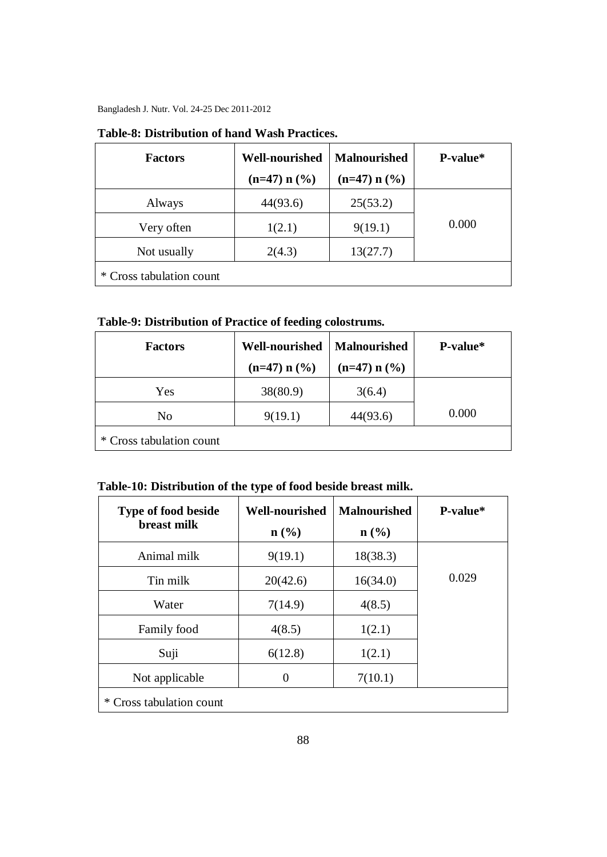| <b>Factors</b>           | <b>Well-nourished</b> | <b>Malnourished</b> | P-value* |
|--------------------------|-----------------------|---------------------|----------|
|                          | $(n=47) n (%)$        | $(n=47) n$ (%)      |          |
| Always                   | 44(93.6)              | 25(53.2)            |          |
| Very often               | 1(2.1)                | 9(19.1)             | 0.000    |
| Not usually              | 2(4.3)                | 13(27.7)            |          |
| * Cross tabulation count |                       |                     |          |

### **Table-8: Distribution of hand Wash Practices.**

**Table-9: Distribution of Practice of feeding colostrums.**

| <b>Factors</b>           | <b>Well-nourished</b> | <b>Malnourished</b> | P-value* |
|--------------------------|-----------------------|---------------------|----------|
|                          | $(n=47) n$ (%)        | $(n=47) n$ (%)      |          |
| Yes                      | 38(80.9)              | 3(6.4)              |          |
| No                       | 9(19.1)               | 44(93.6)            | 0.000    |
| * Cross tabulation count |                       |                     |          |

# **Table-10: Distribution of the type of food beside breast milk.**

| Type of food beside<br>breast milk | <b>Well-nourished</b><br>$n$ (%) | <b>Malnourished</b><br>$n$ (%) | P-value* |
|------------------------------------|----------------------------------|--------------------------------|----------|
| Animal milk                        | 9(19.1)                          | 18(38.3)                       |          |
| Tin milk                           | 20(42.6)                         | 16(34.0)                       | 0.029    |
| Water                              | 7(14.9)                          | 4(8.5)                         |          |
| Family food                        | 4(8.5)                           | 1(2.1)                         |          |
| Suji                               | 6(12.8)                          | 1(2.1)                         |          |
| Not applicable                     | 0                                | 7(10.1)                        |          |
| Cross tabulation count<br>∗        |                                  |                                |          |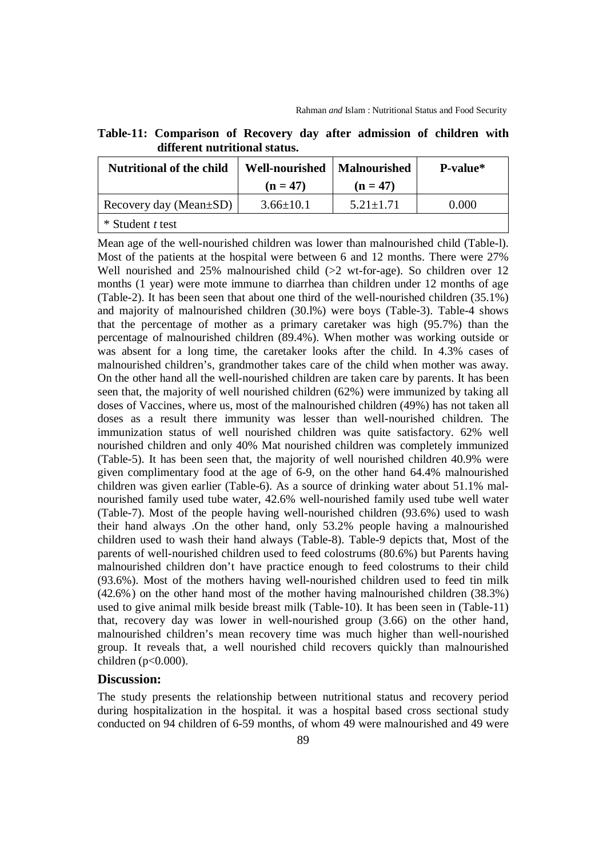|                               | Table-11: Comparison of Recovery day after admission of children with                                                                                                                                                             |  |  |  |  |  |  |  |
|-------------------------------|-----------------------------------------------------------------------------------------------------------------------------------------------------------------------------------------------------------------------------------|--|--|--|--|--|--|--|
| different nutritional status. |                                                                                                                                                                                                                                   |  |  |  |  |  |  |  |
|                               | $\frac{1}{2}$ , and in the contract of the contract of the contract of the contract of the contract of the contract of the contract of the contract of the contract of the contract of the contract of the contract of the contra |  |  |  |  |  |  |  |

| <b>Nutritional of the child</b> | Well-nourished   Malnourished |               | <b>P-value</b> * |
|---------------------------------|-------------------------------|---------------|------------------|
|                                 | $(n = 47)$                    | $(n = 47)$    |                  |
| Recovery day (Mean $\pm SD$ )   | $3.66 \pm 10.1$               | $5.21 + 1.71$ | 0.000            |
| $*$ Student t test              |                               |               |                  |

Mean age of the well-nourished children was lower than malnourished child (Table-l). Most of the patients at the hospital were between 6 and 12 months. There were 27% Well nourished and  $25\%$  malnourished child ( $>2$  wt-for-age). So children over 12 months (1 year) were mote immune to diarrhea than children under 12 months of age (Table-2). It has been seen that about one third of the well-nourished children (35.1%) and majority of malnourished children (30.l%) were boys (Table-3). Table-4 shows that the percentage of mother as a primary caretaker was high (95.7%) than the percentage of malnourished children (89.4%). When mother was working outside or was absent for a long time, the caretaker looks after the child. In 4.3% cases of malnourished children's, grandmother takes care of the child when mother was away. On the other hand all the well-nourished children are taken care by parents. It has been seen that, the majority of well nourished children (62%) were immunized by taking all doses of Vaccines, where us, most of the malnourished children (49%) has not taken all doses as a result there immunity was lesser than well-nourished children. The immunization status of well nourished children was quite satisfactory. 62% well nourished children and only 40% Mat nourished children was completely immunized (Table-5). It has been seen that, the majority of well nourished children 40.9% were given complimentary food at the age of 6-9, on the other hand 64.4% malnourished children was given earlier (Table-6). As a source of drinking water about 51.1% malnourished family used tube water, 42.6% well-nourished family used tube well water (Table-7). Most of the people having well-nourished children (93.6%) used to wash their hand always .On the other hand, only 53.2% people having a malnourished children used to wash their hand always (Table-8). Table-9 depicts that, Most of the parents of well-nourished children used to feed colostrums (80.6%) but Parents having malnourished children don't have practice enough to feed colostrums to their child (93.6%). Most of the mothers having well-nourished children used to feed tin milk (42.6%) on the other hand most of the mother having malnourished children (38.3%) used to give animal milk beside breast milk (Table-10). It has been seen in (Table-11) that, recovery day was lower in well-nourished group (3.66) on the other hand, malnourished children's mean recovery time was much higher than well-nourished group. It reveals that, a well nourished child recovers quickly than malnourished children ( $p<0.000$ ).

### **Discussion:**

The study presents the relationship between nutritional status and recovery period during hospitalization in the hospital. it was a hospital based cross sectional study conducted on 94 children of 6-59 months, of whom 49 were malnourished and 49 were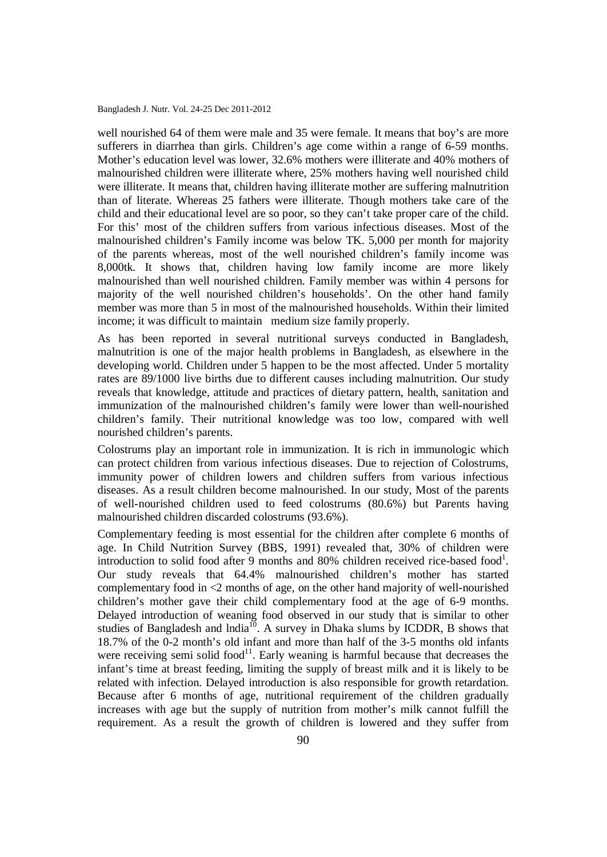well nourished 64 of them were male and 35 were female. It means that boy's are more sufferers in diarrhea than girls. Children's age come within a range of 6-59 months. Mother's education level was lower, 32.6% mothers were illiterate and 40% mothers of malnourished children were illiterate where, 25% mothers having well nourished child were illiterate. It means that, children having illiterate mother are suffering malnutrition than of literate. Whereas 25 fathers were illiterate. Though mothers take care of the child and their educational level are so poor, so they can't take proper care of the child. For this' most of the children suffers from various infectious diseases. Most of the malnourished children's Family income was below TK. 5,000 per month for majority of the parents whereas, most of the well nourished children's family income was 8,000tk. It shows that, children having low family income are more likely malnourished than well nourished children. Family member was within 4 persons for majority of the well nourished children's households'. On the other hand family member was more than 5 in most of the malnourished households. Within their limited income; it was difficult to maintain medium size family properly.

As has been reported in several nutritional surveys conducted in Bangladesh, malnutrition is one of the major health problems in Bangladesh, as elsewhere in the developing world. Children under 5 happen to be the most affected. Under 5 mortality rates are 89/1000 live births due to different causes including malnutrition. Our study reveals that knowledge, attitude and practices of dietary pattern, health, sanitation and immunization of the malnourished children's family were lower than well-nourished children's family. Their nutritional knowledge was too low, compared with well nourished children's parents.

Colostrums play an important role in immunization. It is rich in immunologic which can protect children from various infectious diseases. Due to rejection of Colostrums, immunity power of children lowers and children suffers from various infectious diseases. As a result children become malnourished. In our study, Most of the parents of well-nourished children used to feed colostrums (80.6%) but Parents having malnourished children discarded colostrums (93.6%).

Complementary feeding is most essential for the children after complete 6 months of age. In Child Nutrition Survey (BBS, 1991) revealed that, 30% of children were introduction to solid food after 9 months and 80% children received rice-based food<sup>1</sup>. Our study reveals that 64.4% malnourished children's mother has started complementary food in <2 months of age, on the other hand majority of well-nourished children's mother gave their child complementary food at the age of 6-9 months. Delayed introduction of weaning food observed in our study that is similar to other studies of Bangladesh and  $lndia<sup>10</sup>$ . A survey in Dhaka slums by ICDDR, B shows that 18.7% of the 0-2 month's old infant and more than half of the 3-5 months old infants were receiving semi solid food $1$ . Early weaning is harmful because that decreases the infant's time at breast feeding, limiting the supply of breast milk and it is likely to be related with infection. Delayed introduction is also responsible for growth retardation. Because after 6 months of age, nutritional requirement of the children gradually increases with age but the supply of nutrition from mother's milk cannot fulfill the requirement. As a result the growth of children is lowered and they suffer from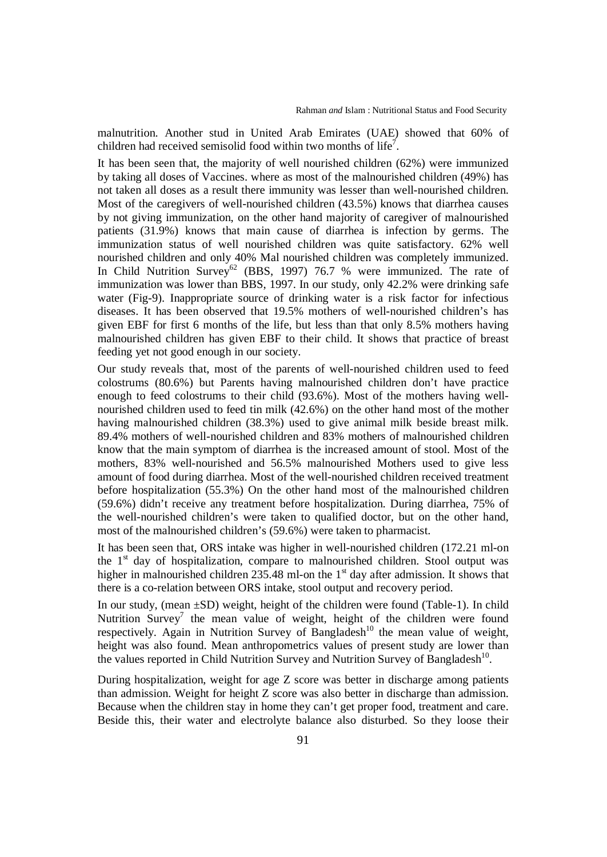malnutrition. Another stud in United Arab Emirates (UAE) showed that 60% of children had received semisolid food within two months of life<sup>7</sup>.

It has been seen that, the majority of well nourished children (62%) were immunized by taking all doses of Vaccines. where as most of the malnourished children (49%) has not taken all doses as a result there immunity was lesser than well-nourished children. Most of the caregivers of well-nourished children (43.5%) knows that diarrhea causes by not giving immunization, on the other hand majority of caregiver of malnourished patients (31.9%) knows that main cause of diarrhea is infection by germs. The immunization status of well nourished children was quite satisfactory. 62% well nourished children and only 40% Mal nourished children was completely immunized. In Child Nutrition Survey<sup>62</sup> (BBS, 1997) 76.7 % were immunized. The rate of immunization was lower than BBS, 1997. In our study, only 42.2% were drinking safe water (Fig-9). Inappropriate source of drinking water is a risk factor for infectious diseases. It has been observed that 19.5% mothers of well-nourished children's has given EBF for first 6 months of the life, but less than that only 8.5% mothers having malnourished children has given EBF to their child. It shows that practice of breast feeding yet not good enough in our society.

Our study reveals that, most of the parents of well-nourished children used to feed colostrums (80.6%) but Parents having malnourished children don't have practice enough to feed colostrums to their child (93.6%). Most of the mothers having wellnourished children used to feed tin milk (42.6%) on the other hand most of the mother having malnourished children (38.3%) used to give animal milk beside breast milk. 89.4% mothers of well-nourished children and 83% mothers of malnourished children know that the main symptom of diarrhea is the increased amount of stool. Most of the mothers, 83% well-nourished and 56.5% malnourished Mothers used to give less amount of food during diarrhea. Most of the well-nourished children received treatment before hospitalization (55.3%) On the other hand most of the malnourished children (59.6%) didn't receive any treatment before hospitalization. During diarrhea, 75% of the well-nourished children's were taken to qualified doctor, but on the other hand, most of the malnourished children's (59.6%) were taken to pharmacist.

It has been seen that, ORS intake was higher in well-nourished children (172.21 ml-on the  $1<sup>st</sup>$  day of hospitalization, compare to malnourished children. Stool output was higher in malnourished children 235.48 ml-on the  $1<sup>st</sup>$  day after admission. It shows that there is a co-relation between ORS intake, stool output and recovery period.

In our study, (mean ±SD) weight, height of the children were found (Table-1). In child Nutrition  $Survey^7$  the mean value of weight, height of the children were found respectively. Again in Nutrition Survey of Bangladesh<sup>10</sup> the mean value of weight, height was also found. Mean anthropometrics values of present study are lower than the values reported in Child Nutrition Survey and Nutrition Survey of Bangladesh<sup>10</sup>.

During hospitalization, weight for age Z score was better in discharge among patients than admission. Weight for height Z score was also better in discharge than admission. Because when the children stay in home they can't get proper food, treatment and care. Beside this, their water and electrolyte balance also disturbed. So they loose their